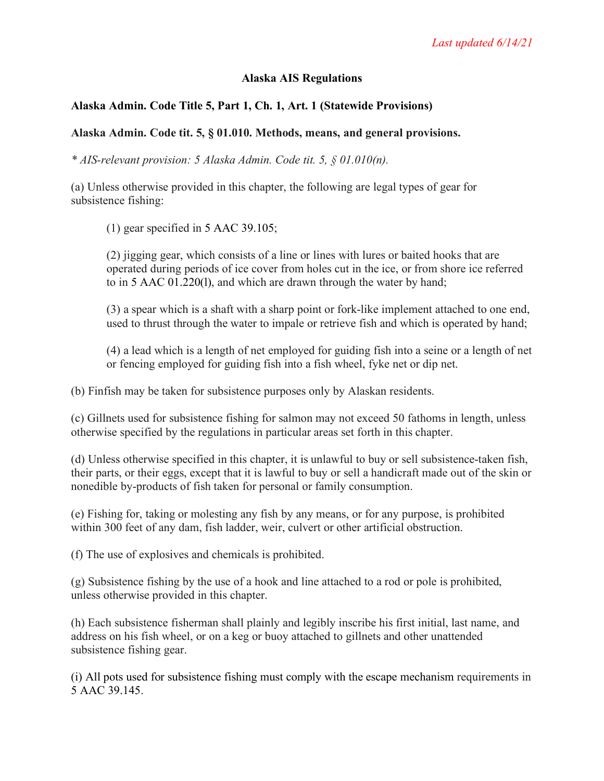## **Alaska AIS Regulations**

# **Alaska Admin. Code Title 5, Part 1, Ch. 1, Art. 1 (Statewide Provisions)**

### **Alaska Admin. Code tit. 5, § 01.010. Methods, means, and general provisions.**

*\* AIS-relevant provision: 5 Alaska Admin. Code tit. 5, § 01.010(n).*

(a) Unless otherwise provided in this chapter, the following are legal types of gear for subsistence fishing:

(1) gear specified in 5 AAC 39.105;

(2) jigging gear, which consists of a line or lines with lures or baited hooks that are operated during periods of ice cover from holes cut in the ice, or from shore ice referred to in 5 AAC 01.220(l), and which are drawn through the water by hand;

(3) a spear which is a shaft with a sharp point or fork-like implement attached to one end, used to thrust through the water to impale or retrieve fish and which is operated by hand;

(4) a lead which is a length of net employed for guiding fish into a seine or a length of net or fencing employed for guiding fish into a fish wheel, fyke net or dip net.

(b) Finfish may be taken for subsistence purposes only by Alaskan residents.

(c) Gillnets used for subsistence fishing for salmon may not exceed 50 fathoms in length, unless otherwise specified by the regulations in particular areas set forth in this chapter.

(d) Unless otherwise specified in this chapter, it is unlawful to buy or sell subsistence-taken fish, their parts, or their eggs, except that it is lawful to buy or sell a handicraft made out of the skin or nonedible by-products of fish taken for personal or family consumption.

(e) Fishing for, taking or molesting any fish by any means, or for any purpose, is prohibited within 300 feet of any dam, fish ladder, weir, culvert or other artificial obstruction.

(f) The use of explosives and chemicals is prohibited.

(g) Subsistence fishing by the use of a hook and line attached to a rod or pole is prohibited, unless otherwise provided in this chapter.

(h) Each subsistence fisherman shall plainly and legibly inscribe his first initial, last name, and address on his fish wheel, or on a keg or buoy attached to gillnets and other unattended subsistence fishing gear.

(i) All pots used for subsistence fishing must comply with the escape mechanism requirements in 5 AAC 39.145.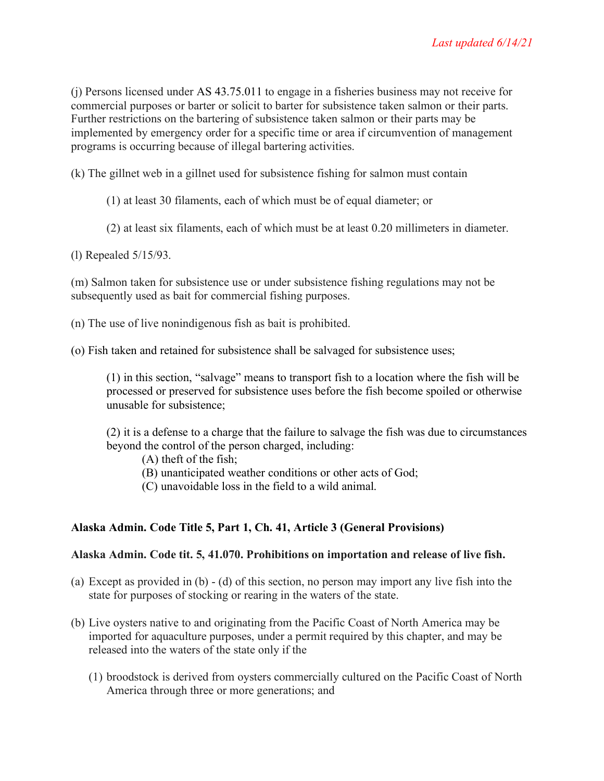(j) Persons licensed under AS 43.75.011 to engage in a fisheries business may not receive for commercial purposes or barter or solicit to barter for subsistence taken salmon or their parts. Further restrictions on the bartering of subsistence taken salmon or their parts may be implemented by emergency order for a specific time or area if circumvention of management programs is occurring because of illegal bartering activities.

(k) The gillnet web in a gillnet used for subsistence fishing for salmon must contain

(1) at least 30 filaments, each of which must be of equal diameter; or

(2) at least six filaments, each of which must be at least 0.20 millimeters in diameter.

(l) Repealed 5/15/93.

(m) Salmon taken for subsistence use or under subsistence fishing regulations may not be subsequently used as bait for commercial fishing purposes.

- (n) The use of live nonindigenous fish as bait is prohibited.
- (o) Fish taken and retained for subsistence shall be salvaged for subsistence uses;

(1) in this section, "salvage" means to transport fish to a location where the fish will be processed or preserved for subsistence uses before the fish become spoiled or otherwise unusable for subsistence;

(2) it is a defense to a charge that the failure to salvage the fish was due to circumstances beyond the control of the person charged, including:

(A) theft of the fish;

(B) unanticipated weather conditions or other acts of God;

(C) unavoidable loss in the field to a wild animal.

### **Alaska Admin. Code Title 5, Part 1, Ch. 41, Article 3 (General Provisions)**

#### **Alaska Admin. Code tit. 5, 41.070. Prohibitions on importation and release of live fish.**

- (a) Except as provided in (b) (d) of this section, no person may import any live fish into the state for purposes of stocking or rearing in the waters of the state.
- (b) Live oysters native to and originating from the Pacific Coast of North America may be imported for aquaculture purposes, under a permit required by this chapter, and may be released into the waters of the state only if the
	- (1) broodstock is derived from oysters commercially cultured on the Pacific Coast of North America through three or more generations; and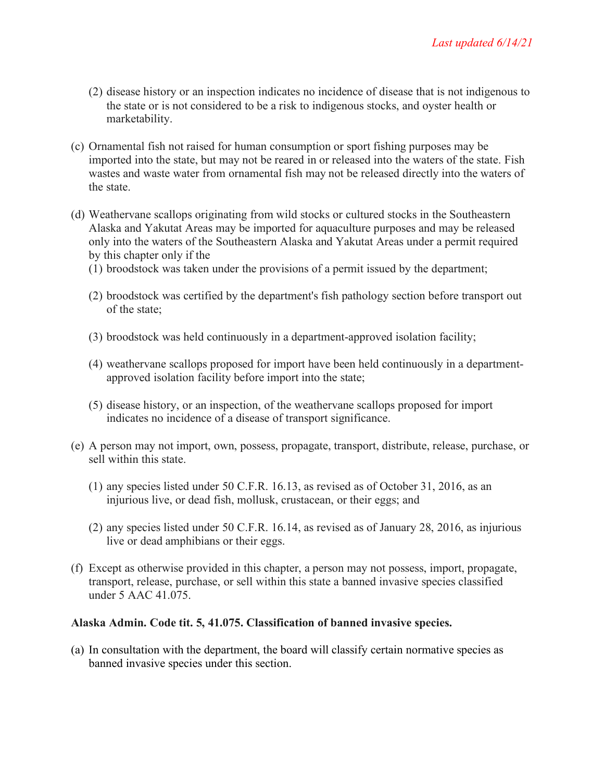- (2) disease history or an inspection indicates no incidence of disease that is not indigenous to the state or is not considered to be a risk to indigenous stocks, and oyster health or marketability.
- (c) Ornamental fish not raised for human consumption or sport fishing purposes may be imported into the state, but may not be reared in or released into the waters of the state. Fish wastes and waste water from ornamental fish may not be released directly into the waters of the state.
- (d) Weathervane scallops originating from wild stocks or cultured stocks in the Southeastern Alaska and Yakutat Areas may be imported for aquaculture purposes and may be released only into the waters of the Southeastern Alaska and Yakutat Areas under a permit required by this chapter only if the
	- (1) broodstock was taken under the provisions of a permit issued by the department;
	- (2) broodstock was certified by the department's fish pathology section before transport out of the state;
	- (3) broodstock was held continuously in a department-approved isolation facility;
	- (4) weathervane scallops proposed for import have been held continuously in a departmentapproved isolation facility before import into the state;
	- (5) disease history, or an inspection, of the weathervane scallops proposed for import indicates no incidence of a disease of transport significance.
- (e) A person may not import, own, possess, propagate, transport, distribute, release, purchase, or sell within this state.
	- (1) any species listed under 50 C.F.R. 16.13, as revised as of October 31, 2016, as an injurious live, or dead fish, mollusk, crustacean, or their eggs; and
	- (2) any species listed under 50 C.F.R. 16.14, as revised as of January 28, 2016, as injurious live or dead amphibians or their eggs.
- (f) Except as otherwise provided in this chapter, a person may not possess, import, propagate, transport, release, purchase, or sell within this state a banned invasive species classified under 5 AAC 41.075.

#### **Alaska Admin. Code tit. 5, 41.075. Classification of banned invasive species.**

(a) In consultation with the department, the board will classify certain normative species as banned invasive species under this section.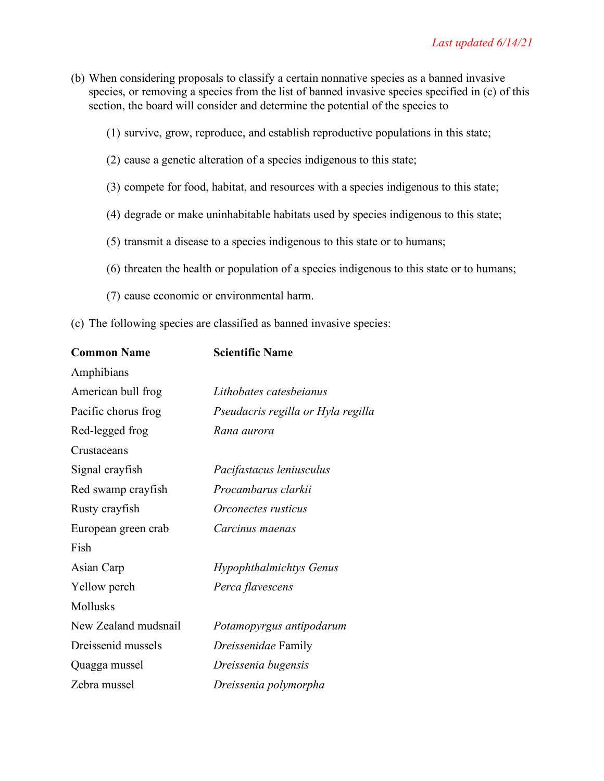- (b) When considering proposals to classify a certain nonnative species as a banned invasive species, or removing a species from the list of banned invasive species specified in (c) of this section, the board will consider and determine the potential of the species to
	- (1) survive, grow, reproduce, and establish reproductive populations in this state;
	- (2) cause a genetic alteration of a species indigenous to this state;
	- (3) compete for food, habitat, and resources with a species indigenous to this state;
	- (4) degrade or make uninhabitable habitats used by species indigenous to this state;
	- (5) transmit a disease to a species indigenous to this state or to humans;
	- (6) threaten the health or population of a species indigenous to this state or to humans;
	- (7) cause economic or environmental harm.
- (c) The following species are classified as banned invasive species:

| <b>Common Name</b>   | <b>Scientific Name</b>             |
|----------------------|------------------------------------|
| Amphibians           |                                    |
| American bull frog   | Lithobates catesbeianus            |
| Pacific chorus frog  | Pseudacris regilla or Hyla regilla |
| Red-legged frog      | Rana aurora                        |
| Crustaceans          |                                    |
| Signal crayfish      | Pacifastacus leniusculus           |
| Red swamp crayfish   | Procambarus clarkii                |
| Rusty crayfish       | <i>Orconectes rusticus</i>         |
| European green crab  | Carcinus maenas                    |
| Fish                 |                                    |
| Asian Carp           | Hypophthalmichtys Genus            |
| Yellow perch         | Perca flavescens                   |
| Mollusks             |                                    |
| New Zealand mudsnail | Potamopyrgus antipodarum           |
| Dreissenid mussels   | <i>Dreissenidae</i> Family         |
| Quagga mussel        | Dreissenia bugensis                |
| Zebra mussel         | Dreissenia polymorpha              |
|                      |                                    |